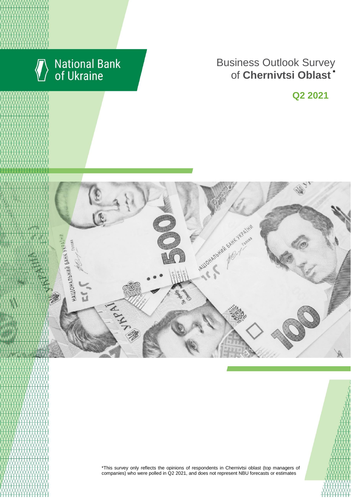

# **National Bank**<br>of Ukraine

## **Business Outlook Survey** of **Chernivtsi Oblast** \*

**Q2 2021**



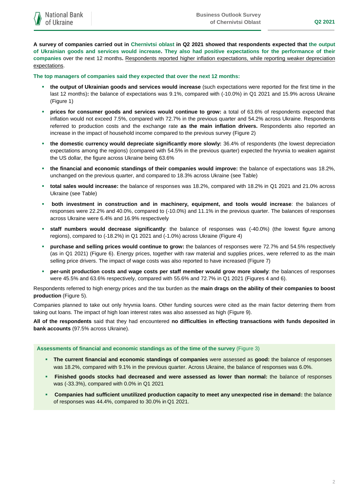**A survey of companies carried out in Chernivtsi oblast in Q2 2021 showed that respondents expected that the output of Ukrainian goods and services would increase. They also had positive expectations for the performance of their companies** over the next 12 months**.** Respondents reported higher inflation expectations, while reporting weaker depreciation expectations.

**The top managers of companies said they expected that over the next 12 months:**

- **the output of Ukrainian goods and services would increase** (such expectations were reported for the first time in the last 12 months)**:** the balance of expectations was 9.1%, compared with (-10.0%) in Q1 2021 and 15.9% across Ukraine (Figure 1)
- **prices for consumer goods and services would continue to grow:** a total of 63.6% of respondents expected that inflation would not exceed 7.5%, compared with 72.7% in the previous quarter and 54.2% across Ukraine. Respondents referred to production costs and the exchange rate **as the main inflation drivers.** Respondents also reported an increase in the impact of household income compared to the previous survey (Figure 2)
- **the domestic currency would depreciate significantly more slowly:** 36.4% of respondents (the lowest depreciation expectations among the regions) (compared with 54.5% in the previous quarter) expected the hryvnia to weaken against the US dollar, the figure across Ukraine being 63.6%
- **the financial and economic standings of their companies would improve:** the balance of expectations was 18.2%, unchanged on the previous quarter, and compared to 18.3% across Ukraine (see Table)
- **total sales would increase:** the balance of responses was 18.2%, compared with 18.2% in Q1 2021 and 21.0% across Ukraine (see Table)
- **both investment in construction and in machinery, equipment, and tools would increase**: the balances of responses were 22.2% and 40.0%, compared to (-10.0%) and 11.1% in the previous quarter. The balances of responses across Ukraine were 6.4% and 16.9% respectively
- **staff numbers would decrease significantly**: the balance of responses was (-40.0%) (the lowest figure among regions), compared to (-18.2%) in Q1 2021 and (-1.0%) across Ukraine (Figure 4)
- **purchase and selling prices would continue to grow:** the balances of responses were 72.7% and 54.5% respectively (as in Q1 2021) (Figure 6). Energy prices, together with raw material and supplies prices, were referred to as the main selling price drivers. The impact of wage costs was also reported to have increased (Figure 7)
- **per-unit production costs and wage costs per staff member would grow more slowly**: the balances of responses were 45.5% and 63.6% respectively, compared with 55.6% and 72.7% in Q1 2021 (Figures 4 and 6).

Respondents referred to high energy prices and the tax burden as the **main drags on the ability of their companies to boost production** (Figure 5).

Companies planned to take out only hryvnia loans. Other funding sources were cited as the main factor deterring them from taking out loans. The impact of high loan interest rates was also assessed as high (Figure 9).

**All of the respondents** said that they had encountered **no difficulties in effecting transactions with funds deposited in bank accounts** (97.5% across Ukraine).

**Assessments of financial and economic standings as of the time of the survey** (Figure 3)

- **The current financial and economic standings of companies** were assessed as **good:** the balance of responses was 18.2%, compared with 9.1% in the previous quarter. Across Ukraine, the balance of responses was 6.0%.
- **Finished goods stocks had decreased and were assessed as lower than normal:** the balance of responses was (-33.3%), compared with 0.0% in Q1 2021
- **Companies had sufficient unutilized production capacity to meet any unexpected rise in demand:** the balance of responses was 44.4%, compared to 30.0% in Q1 2021.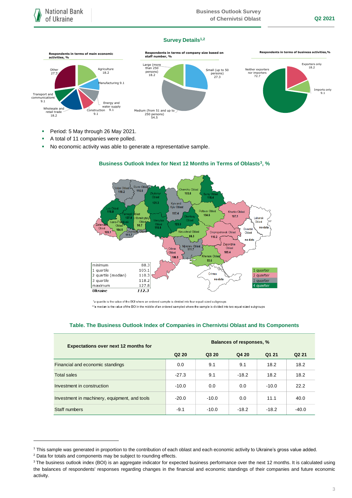#### **Survey Details1,2**



- Period: 5 May through 26 May 2021.
- A total of 11 companies were polled.
- No economic activity was able to generate a representative sample.



#### **Business Outlook Index for Next 12 Months in Terms of Oblasts<sup>3</sup> , %**

\*a quartile is the value of the BOI where an ordered sample is divided into four equal-sized subgroups

\*\*a median is the value of the BOI in the middle of an ordered sampled where the sample is divided into two equal-sized subgroups

#### **Table. The Business Outlook Index of Companies in Chernivtsi Oblast and Its Components**

| <b>Expectations over next 12 months for</b>   | <b>Balances of responses, %</b> |         |         |         |                   |
|-----------------------------------------------|---------------------------------|---------|---------|---------|-------------------|
|                                               | Q <sub>2</sub> 2 <sub>0</sub>   | Q3 20   | Q4 20   | Q1 21   | Q <sub>2</sub> 21 |
| Financial and economic standings              | 0.0                             | 9.1     | 9.1     | 18.2    | 18.2              |
| <b>Total sales</b>                            | $-27.3$                         | 9.1     | $-18.2$ | 18.2    | 18.2              |
| Investment in construction                    | $-10.0$                         | 0.0     | 0.0     | $-10.0$ | 22.2              |
| Investment in machinery, equipment, and tools | $-20.0$                         | $-10.0$ | 0.0     | 11.1    | 40.0              |
| Staff numbers                                 | $-9.1$                          | $-10.0$ | $-18.2$ | $-18.2$ | $-40.0$           |

<sup>2</sup> Data for totals and components may be subject to rounding effects.

1

<sup>1</sup> This sample was generated in proportion to the contribution of each oblast and each economic activity to Ukraine's gross value added.

<sup>&</sup>lt;sup>3</sup> The business outlook index (BOI) is an aggregate indicator for expected business performance over the next 12 months. It is calculated using the balances of respondents' responses regarding changes in the financial and economic standings of their companies and future economic activity.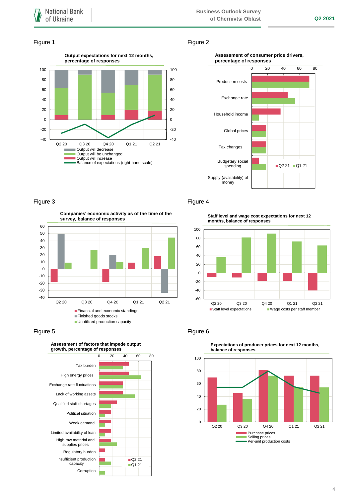#### Figure 1 Figure 2



#### **Assessment of consumer price drivers, percentage of responses**



**Companies' economic activity as of the time of the survey, balance of responses**



#### Figure 5 **Figure 6** Figure 6



### Figure 3 **Figure 4**

**Staff level and wage cost expectations for next 12 months, balance of responses**





**Expectations of producer prices for next 12 months,**